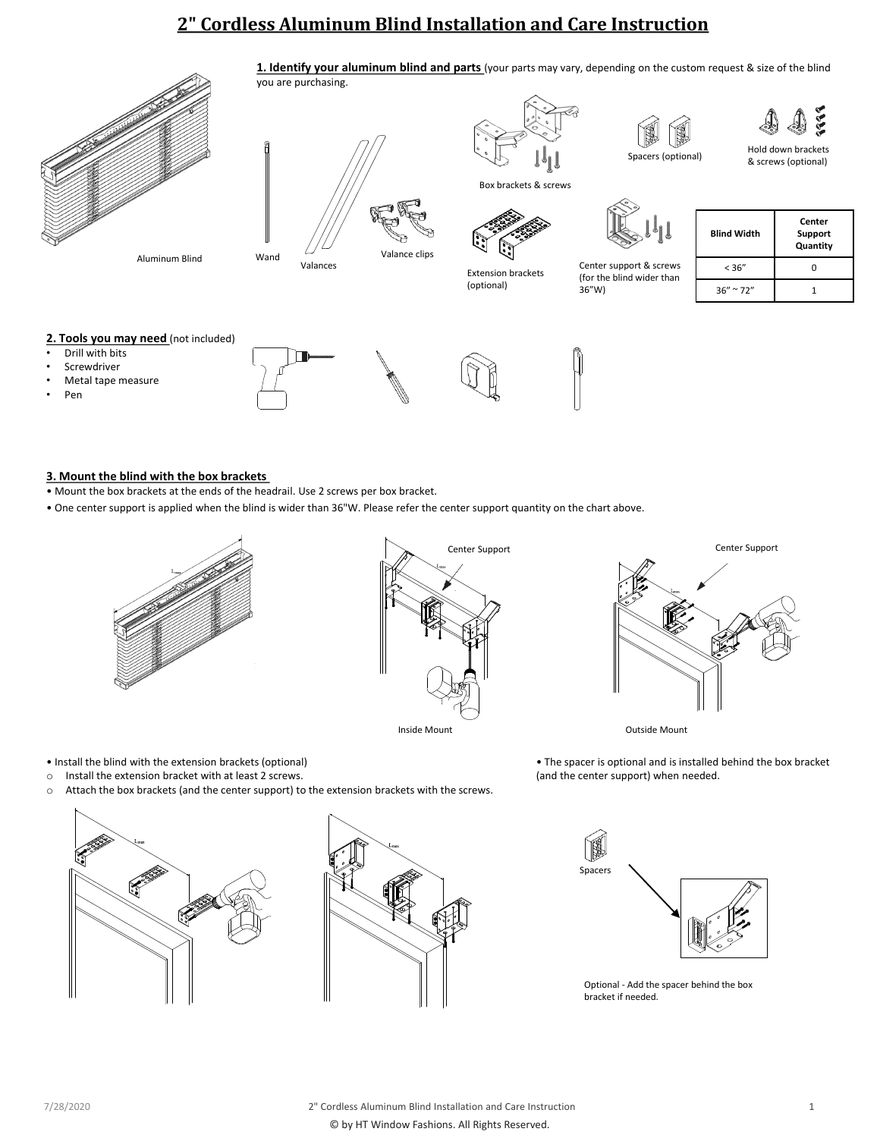# **2" Cordless Aluminum Blind Installation and Care Instruction**



Aluminum Blind



you are purchasing.

Box brackets & screws

Extension brackets (optional)



**1. Identify your aluminum blind and parts** (your parts may vary, depending on the custom request & size of the blind



36"W)



Center support & screws (for the blind wider than

| <b>Blind Width</b>  | Center<br>Support<br>Quantity |
|---------------------|-------------------------------|
| < 36''              | n                             |
| $36'' \approx 72''$ |                               |

& screws (optional)

iqq.

Spacers (optional) Hold down brackets

## 2. Tools you may need (not included)

- 
- **Screwdriver**
- Metal tape measure
- Pen

### **3. Mount the blind with the box brackets**

- Mount the box brackets at the ends of the headrail. Use 2 screws per box bracket.
- One center support is applied when the blind is wider than 36"W. Please refer the center support quantity on the chart above.



• Install the blind with the extension brackets (optional)





Inside Mount **Outside Mount** 

• The spacer is optional and is installed behind the box bracket (and the center support) when needed.





S. Spacers

Optional - Add the spacer behind the box bracket if needed.